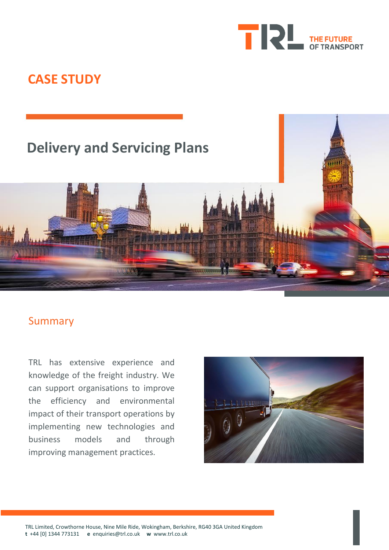

# **CASE STUDY**

# **Delivery and Servicing Plans**

## Summary

TRL has extensive experience and knowledge of the freight industry. We can support organisations to improve the efficiency and environmental impact of their transport operations by implementing new technologies and business models and through improving management practices.



TRL Limited, Crowthorne House, Nine Mile Ride, Wokingham, Berkshire, RG40 3GA United Kingdom **t** +44 [0] 1344 773131 **e** enquiries@trl.co.uk **w** www.trl.co.uk